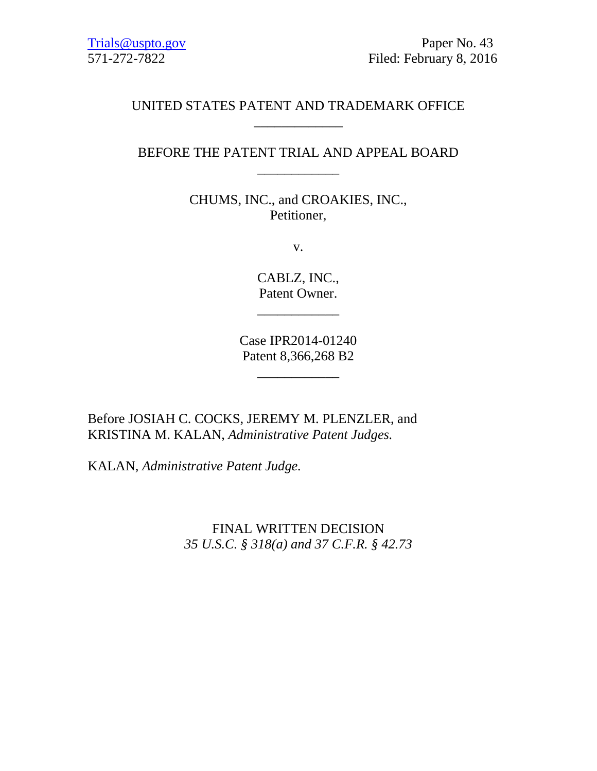# UNITED STATES PATENT AND TRADEMARK OFFICE \_\_\_\_\_\_\_\_\_\_\_\_\_

# BEFORE THE PATENT TRIAL AND APPEAL BOARD \_\_\_\_\_\_\_\_\_\_\_\_

CHUMS, INC., and CROAKIES, INC., Petitioner,

v.

CABLZ, INC., Patent Owner.

\_\_\_\_\_\_\_\_\_\_\_\_

Case IPR2014-01240 Patent 8,366,268 B2

\_\_\_\_\_\_\_\_\_\_\_\_

Before JOSIAH C. COCKS, JEREMY M. PLENZLER, and KRISTINA M. KALAN, *Administrative Patent Judges.*

KALAN, *Administrative Patent Judge.*

FINAL WRITTEN DECISION *35 U.S.C. § 318(a) and 37 C.F.R. § 42.73*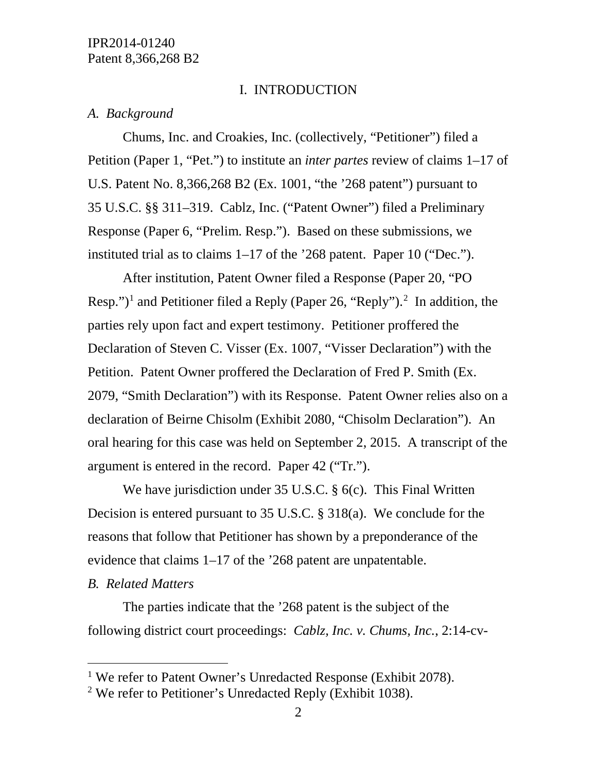### I. INTRODUCTION

### *A. Background*

Chums, Inc. and Croakies, Inc. (collectively, "Petitioner") filed a Petition (Paper 1, "Pet.") to institute an *inter partes* review of claims 1–17 of U.S. Patent No. 8,366,268 B2 (Ex. 1001, "the '268 patent") pursuant to 35 U.S.C. §§ 311–319. Cablz, Inc. ("Patent Owner") filed a Preliminary Response (Paper 6, "Prelim. Resp."). Based on these submissions, we instituted trial as to claims 1–17 of the '268 patent. Paper 10 ("Dec.").

After institution, Patent Owner filed a Response (Paper 20, "PO Resp.")<sup>[1](#page-1-0)</sup> and Petitioner filed a Reply (Paper [2](#page-1-1)6, "Reply").<sup>2</sup> In addition, the parties rely upon fact and expert testimony. Petitioner proffered the Declaration of Steven C. Visser (Ex. 1007, "Visser Declaration") with the Petition. Patent Owner proffered the Declaration of Fred P. Smith (Ex. 2079, "Smith Declaration") with its Response. Patent Owner relies also on a declaration of Beirne Chisolm (Exhibit 2080, "Chisolm Declaration"). An oral hearing for this case was held on September 2, 2015. A transcript of the argument is entered in the record. Paper 42 ("Tr.").

We have jurisdiction under 35 U.S.C. § 6(c). This Final Written Decision is entered pursuant to 35 U.S.C. § 318(a). We conclude for the reasons that follow that Petitioner has shown by a preponderance of the evidence that claims 1–17 of the '268 patent are unpatentable.

# *B. Related Matters*

The parties indicate that the '268 patent is the subject of the following district court proceedings: *Cablz, Inc. v. Chums, Inc.*, 2:14-cv-

<span id="page-1-0"></span><sup>&</sup>lt;sup>1</sup> We refer to Patent Owner's Unredacted Response (Exhibit 2078).

<span id="page-1-1"></span><sup>2</sup> We refer to Petitioner's Unredacted Reply (Exhibit 1038).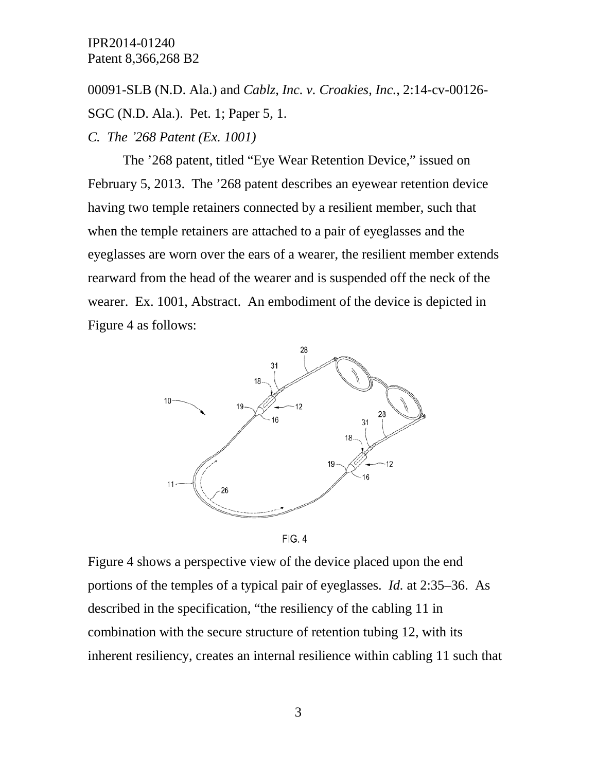00091-SLB (N.D. Ala.) and *Cablz, Inc. v. Croakies, Inc.*, 2:14-cv-00126- SGC (N.D. Ala.). Pet. 1; Paper 5, 1. *C. The '268 Patent (Ex. 1001)*

The '268 patent, titled "Eye Wear Retention Device," issued on February 5, 2013. The '268 patent describes an eyewear retention device having two temple retainers connected by a resilient member, such that when the temple retainers are attached to a pair of eyeglasses and the eyeglasses are worn over the ears of a wearer, the resilient member extends rearward from the head of the wearer and is suspended off the neck of the wearer. Ex. 1001, Abstract. An embodiment of the device is depicted in Figure 4 as follows:





Figure 4 shows a perspective view of the device placed upon the end portions of the temples of a typical pair of eyeglasses. *Id.* at 2:35–36. As described in the specification, "the resiliency of the cabling 11 in combination with the secure structure of retention tubing 12, with its inherent resiliency, creates an internal resilience within cabling 11 such that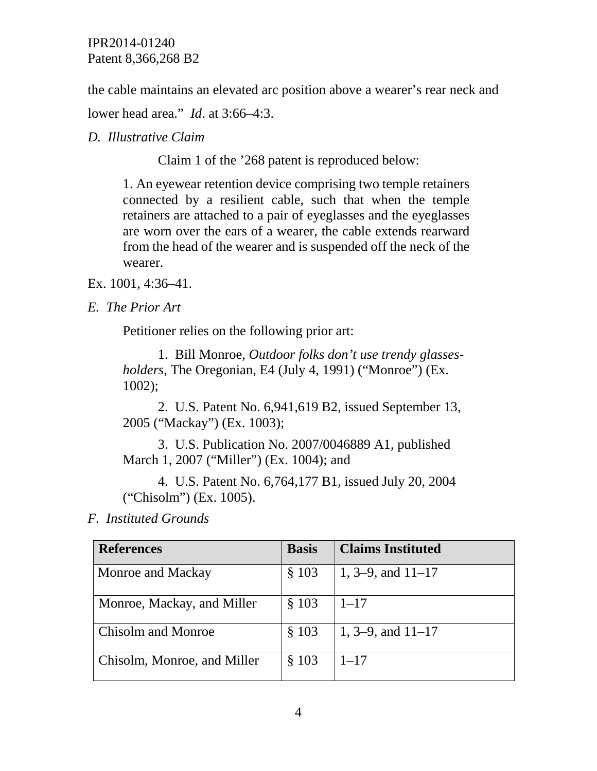the cable maintains an elevated arc position above a wearer's rear neck and

lower head area." *Id*. at 3:66–4:3.

*D. Illustrative Claim* 

Claim 1 of the '268 patent is reproduced below:

1. An eyewear retention device comprising two temple retainers connected by a resilient cable, such that when the temple retainers are attached to a pair of eyeglasses and the eyeglasses are worn over the ears of a wearer, the cable extends rearward from the head of the wearer and is suspended off the neck of the wearer.

Ex. 1001, 4:36–41.

*E. The Prior Art*

Petitioner relies on the following prior art:

1. Bill Monroe, *Outdoor folks don't use trendy glassesholders*, The Oregonian, E4 (July 4, 1991) ("Monroe") (Ex. 1002);

2. U.S. Patent No. 6,941,619 B2, issued September 13, 2005 ("Mackay") (Ex. 1003);

3. U.S. Publication No. 2007/0046889 A1, published March 1, 2007 ("Miller") (Ex. 1004); and

4. U.S. Patent No. 6,764,177 B1, issued July 20, 2004 ("Chisolm") (Ex. 1005).

*F. Instituted Grounds* 

| <b>References</b>           | <b>Basis</b> | <b>Claims Instituted</b> |
|-----------------------------|--------------|--------------------------|
| Monroe and Mackay           | \$103        | 1, 3–9, and $11-17$      |
| Monroe, Mackay, and Miller  | \$103        | $1 - 17$                 |
| <b>Chisolm and Monroe</b>   | \$103        | 1, 3–9, and $11-17$      |
| Chisolm, Monroe, and Miller | \$103        | $1 - 17$                 |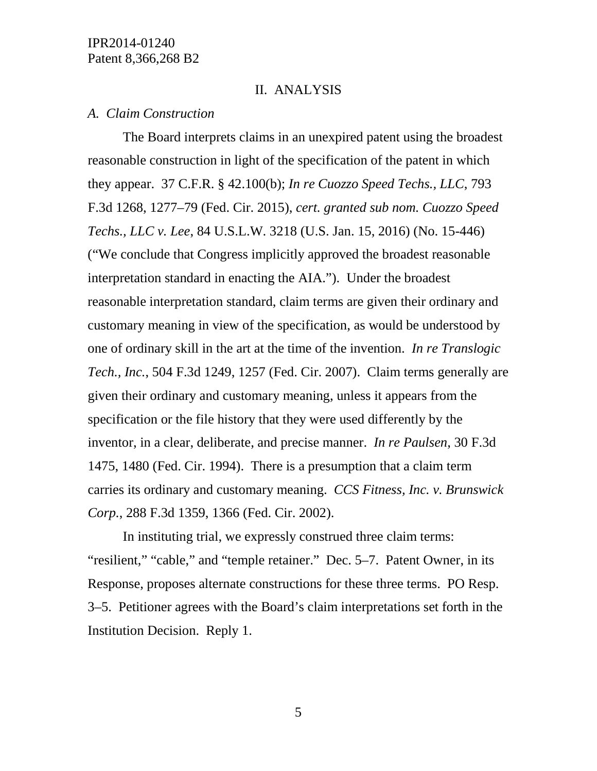### II. ANALYSIS

#### *A. Claim Construction*

The Board interprets claims in an unexpired patent using the broadest reasonable construction in light of the specification of the patent in which they appear. 37 C.F.R. § 42.100(b); *In re Cuozzo Speed Techs., LLC*, 793 F.3d 1268, 1277–79 (Fed. Cir. 2015), *cert. granted sub nom. Cuozzo Speed Techs., LLC v. Lee*, 84 U.S.L.W. 3218 (U.S. Jan. 15, 2016) (No. 15-446) ("We conclude that Congress implicitly approved the broadest reasonable interpretation standard in enacting the AIA."). Under the broadest reasonable interpretation standard, claim terms are given their ordinary and customary meaning in view of the specification, as would be understood by one of ordinary skill in the art at the time of the invention. *In re Translogic Tech., Inc.*, 504 F.3d 1249, 1257 (Fed. Cir. 2007). Claim terms generally are given their ordinary and customary meaning, unless it appears from the specification or the file history that they were used differently by the inventor, in a clear, deliberate, and precise manner. *In re Paulsen*, 30 F.3d 1475, 1480 (Fed. Cir. 1994). There is a presumption that a claim term carries its ordinary and customary meaning. *CCS Fitness, Inc. v. Brunswick Corp.*, 288 F.3d 1359, 1366 (Fed. Cir. 2002).

In instituting trial, we expressly construed three claim terms: "resilient," "cable," and "temple retainer." Dec. 5–7. Patent Owner, in its Response, proposes alternate constructions for these three terms. PO Resp. 3–5. Petitioner agrees with the Board's claim interpretations set forth in the Institution Decision. Reply 1.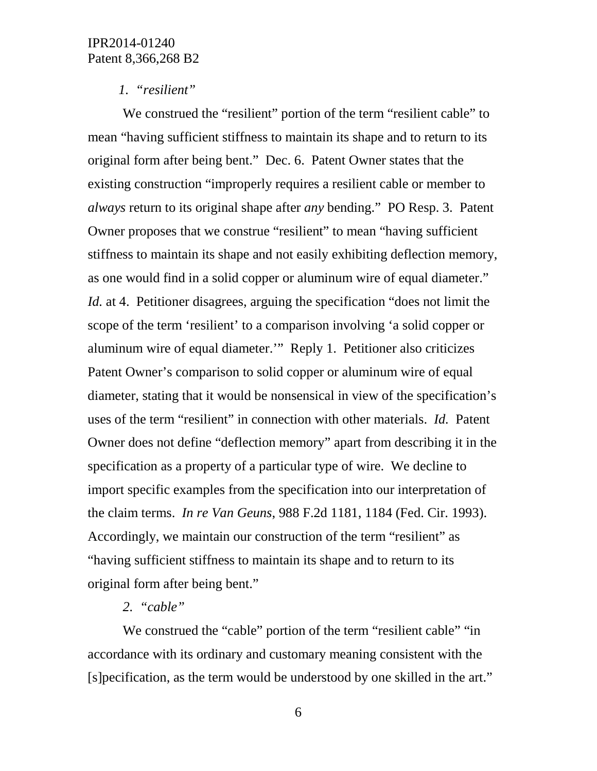## *1. "resilient"*

We construed the "resilient" portion of the term "resilient cable" to mean "having sufficient stiffness to maintain its shape and to return to its original form after being bent." Dec. 6. Patent Owner states that the existing construction "improperly requires a resilient cable or member to *always* return to its original shape after *any* bending." PO Resp. 3. Patent Owner proposes that we construe "resilient" to mean "having sufficient stiffness to maintain its shape and not easily exhibiting deflection memory, as one would find in a solid copper or aluminum wire of equal diameter." *Id.* at 4. Petitioner disagrees, arguing the specification "does not limit the scope of the term 'resilient' to a comparison involving 'a solid copper or aluminum wire of equal diameter.'" Reply 1. Petitioner also criticizes Patent Owner's comparison to solid copper or aluminum wire of equal diameter, stating that it would be nonsensical in view of the specification's uses of the term "resilient" in connection with other materials. *Id.* Patent Owner does not define "deflection memory" apart from describing it in the specification as a property of a particular type of wire. We decline to import specific examples from the specification into our interpretation of the claim terms. *In re Van Geuns*, 988 F.2d 1181, 1184 (Fed. Cir. 1993). Accordingly, we maintain our construction of the term "resilient" as "having sufficient stiffness to maintain its shape and to return to its original form after being bent."

### *2. "cable"*

We construed the "cable" portion of the term "resilient cable" "in accordance with its ordinary and customary meaning consistent with the [s]pecification, as the term would be understood by one skilled in the art."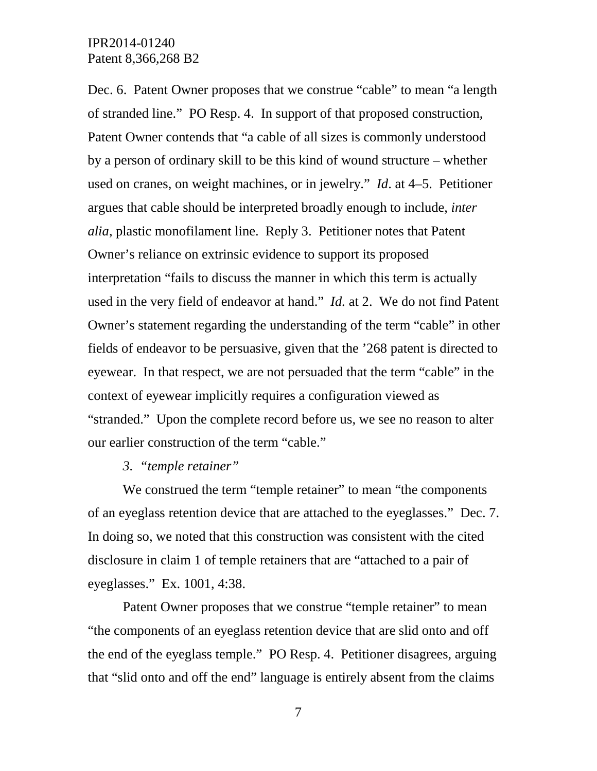Dec. 6. Patent Owner proposes that we construe "cable" to mean "a length of stranded line." PO Resp. 4. In support of that proposed construction, Patent Owner contends that "a cable of all sizes is commonly understood by a person of ordinary skill to be this kind of wound structure – whether used on cranes, on weight machines, or in jewelry." *Id*. at 4–5. Petitioner argues that cable should be interpreted broadly enough to include, *inter alia*, plastic monofilament line. Reply 3. Petitioner notes that Patent Owner's reliance on extrinsic evidence to support its proposed interpretation "fails to discuss the manner in which this term is actually used in the very field of endeavor at hand." *Id.* at 2. We do not find Patent Owner's statement regarding the understanding of the term "cable" in other fields of endeavor to be persuasive, given that the '268 patent is directed to eyewear. In that respect, we are not persuaded that the term "cable" in the context of eyewear implicitly requires a configuration viewed as "stranded." Upon the complete record before us, we see no reason to alter our earlier construction of the term "cable."

#### *3. "temple retainer"*

We construed the term "temple retainer" to mean "the components" of an eyeglass retention device that are attached to the eyeglasses." Dec. 7. In doing so, we noted that this construction was consistent with the cited disclosure in claim 1 of temple retainers that are "attached to a pair of eyeglasses." Ex. 1001, 4:38.

Patent Owner proposes that we construe "temple retainer" to mean "the components of an eyeglass retention device that are slid onto and off the end of the eyeglass temple." PO Resp. 4. Petitioner disagrees, arguing that "slid onto and off the end" language is entirely absent from the claims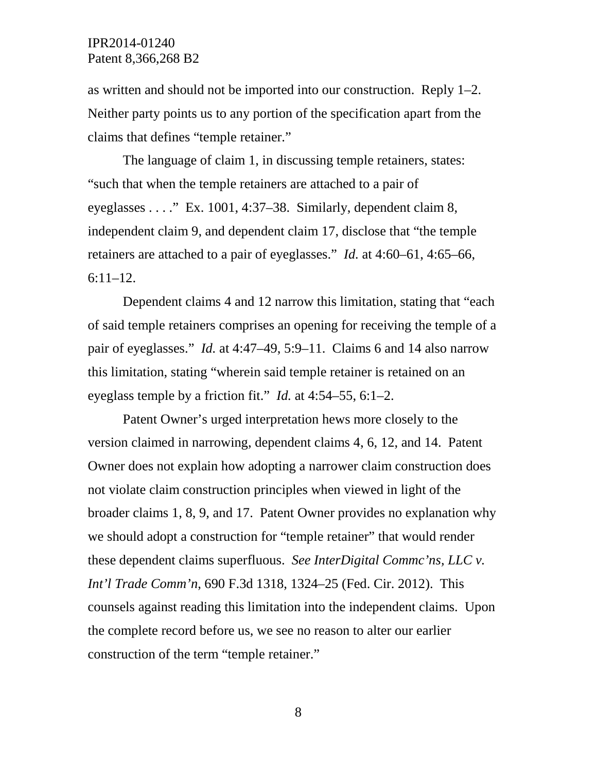as written and should not be imported into our construction. Reply 1–2. Neither party points us to any portion of the specification apart from the claims that defines "temple retainer."

The language of claim 1, in discussing temple retainers, states: "such that when the temple retainers are attached to a pair of eyeglasses . . . ." Ex. 1001, 4:37–38. Similarly, dependent claim 8, independent claim 9, and dependent claim 17, disclose that "the temple retainers are attached to a pair of eyeglasses." *Id.* at 4:60–61, 4:65–66, 6:11–12.

Dependent claims 4 and 12 narrow this limitation, stating that "each of said temple retainers comprises an opening for receiving the temple of a pair of eyeglasses." *Id.* at 4:47–49, 5:9–11. Claims 6 and 14 also narrow this limitation, stating "wherein said temple retainer is retained on an eyeglass temple by a friction fit." *Id.* at 4:54–55, 6:1–2.

Patent Owner's urged interpretation hews more closely to the version claimed in narrowing, dependent claims 4, 6, 12, and 14. Patent Owner does not explain how adopting a narrower claim construction does not violate claim construction principles when viewed in light of the broader claims 1, 8, 9, and 17. Patent Owner provides no explanation why we should adopt a construction for "temple retainer" that would render these dependent claims superfluous. *See InterDigital Commc'ns, LLC v. Int'l Trade Comm'n*, 690 F.3d 1318, 1324–25 (Fed. Cir. 2012). This counsels against reading this limitation into the independent claims. Upon the complete record before us, we see no reason to alter our earlier construction of the term "temple retainer."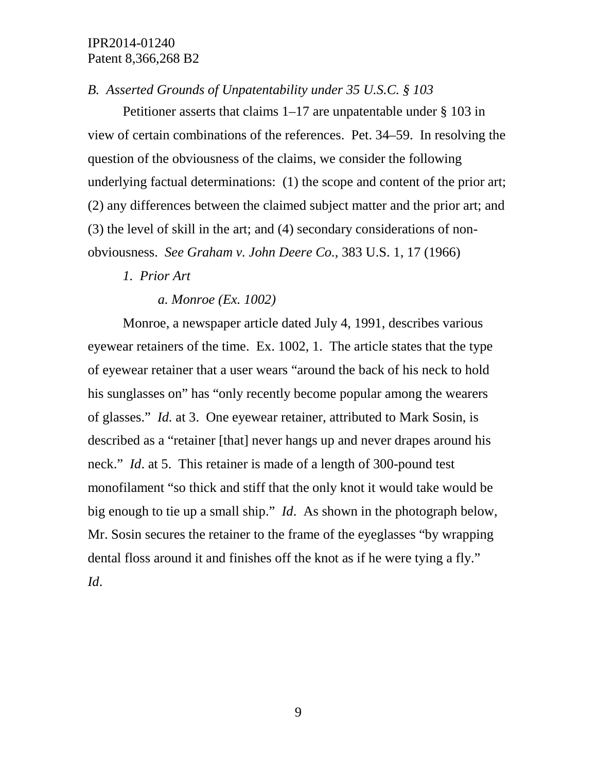# *B. Asserted Grounds of Unpatentability under 35 U.S.C. § 103*

Petitioner asserts that claims 1–17 are unpatentable under § 103 in view of certain combinations of the references. Pet. 34–59. In resolving the question of the obviousness of the claims, we consider the following underlying factual determinations: (1) the scope and content of the prior art; (2) any differences between the claimed subject matter and the prior art; and (3) the level of skill in the art; and (4) secondary considerations of nonobviousness. *See Graham v. John Deere Co.*, 383 U.S. 1, 17 (1966)

# *1. Prior Art*

*a. Monroe (Ex. 1002)*

Monroe, a newspaper article dated July 4, 1991, describes various eyewear retainers of the time. Ex. 1002, 1. The article states that the type of eyewear retainer that a user wears "around the back of his neck to hold his sunglasses on" has "only recently become popular among the wearers of glasses." *Id.* at 3. One eyewear retainer, attributed to Mark Sosin, is described as a "retainer [that] never hangs up and never drapes around his neck." *Id*. at 5. This retainer is made of a length of 300-pound test monofilament "so thick and stiff that the only knot it would take would be big enough to tie up a small ship." *Id*. As shown in the photograph below, Mr. Sosin secures the retainer to the frame of the eyeglasses "by wrapping dental floss around it and finishes off the knot as if he were tying a fly." *Id*.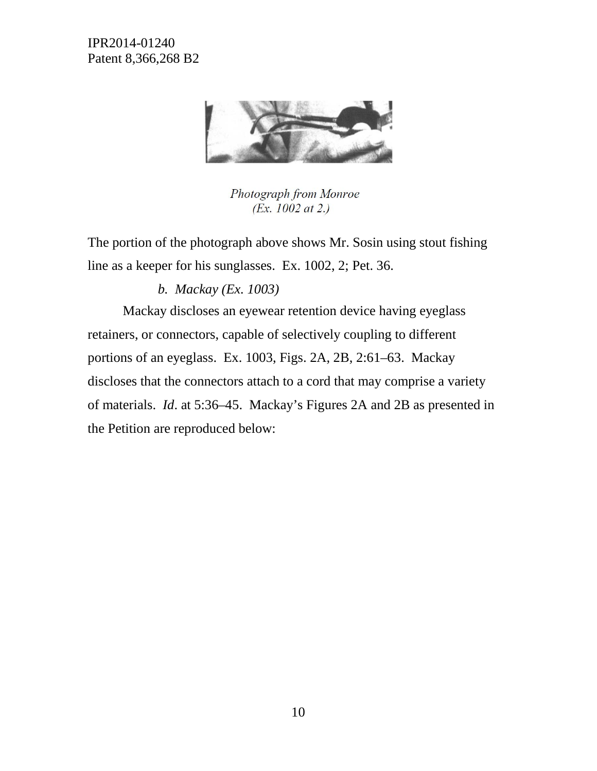

Photograph from Monroe (*Ex.* 1002 at 2.)

The portion of the photograph above shows Mr. Sosin using stout fishing line as a keeper for his sunglasses. Ex. 1002, 2; Pet. 36.

# *b. Mackay (Ex. 1003)*

Mackay discloses an eyewear retention device having eyeglass retainers, or connectors, capable of selectively coupling to different portions of an eyeglass. Ex. 1003, Figs. 2A, 2B, 2:61–63. Mackay discloses that the connectors attach to a cord that may comprise a variety of materials. *Id*. at 5:36–45. Mackay's Figures 2A and 2B as presented in the Petition are reproduced below: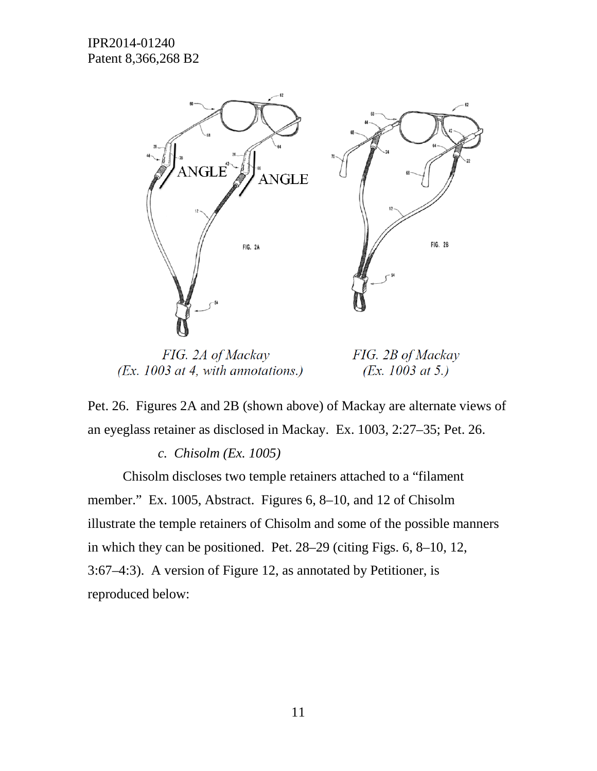

FIG. 2A of Mackay  $(EX. 1003$  at 4, with annotations.)

FIG. 2B of Mackay (*Ex.* 1003 at 5.)

Pet. 26. Figures 2A and 2B (shown above) of Mackay are alternate views of an eyeglass retainer as disclosed in Mackay. Ex. 1003, 2:27–35; Pet. 26.

# *c. Chisolm (Ex. 1005)*

Chisolm discloses two temple retainers attached to a "filament member." Ex. 1005, Abstract. Figures 6, 8–10, and 12 of Chisolm illustrate the temple retainers of Chisolm and some of the possible manners in which they can be positioned. Pet. 28–29 (citing Figs. 6, 8–10, 12, 3:67–4:3). A version of Figure 12, as annotated by Petitioner, is reproduced below: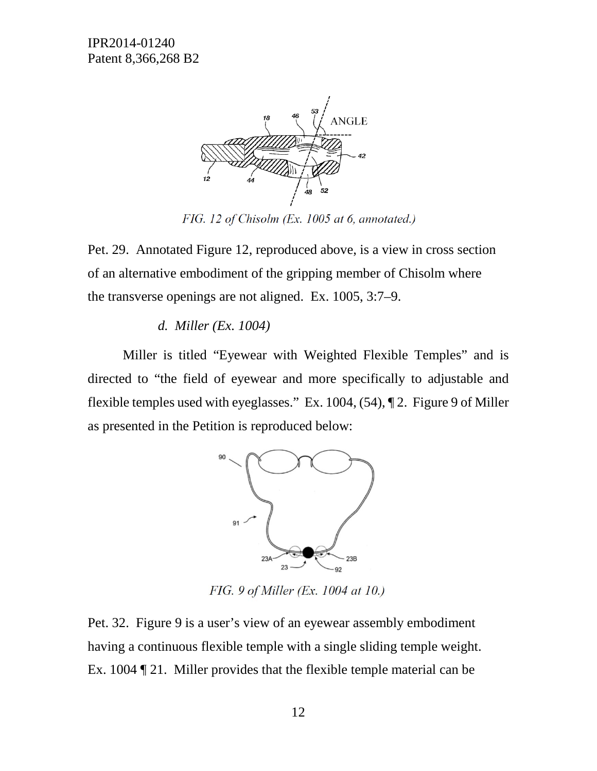

FIG. 12 of Chisolm (Ex. 1005 at 6, annotated.)

Pet. 29. Annotated Figure 12, reproduced above, is a view in cross section of an alternative embodiment of the gripping member of Chisolm where the transverse openings are not aligned. Ex. 1005, 3:7–9.

### *d. Miller (Ex. 1004)*

Miller is titled "Eyewear with Weighted Flexible Temples" and is directed to "the field of eyewear and more specifically to adjustable and flexible temples used with eyeglasses." Ex. 1004, (54), ¶ 2. Figure 9 of Miller as presented in the Petition is reproduced below:



FIG. 9 of Miller (Ex. 1004 at 10.)

Pet. 32. Figure 9 is a user's view of an eyewear assembly embodiment having a continuous flexible temple with a single sliding temple weight. Ex. 1004 ¶ 21. Miller provides that the flexible temple material can be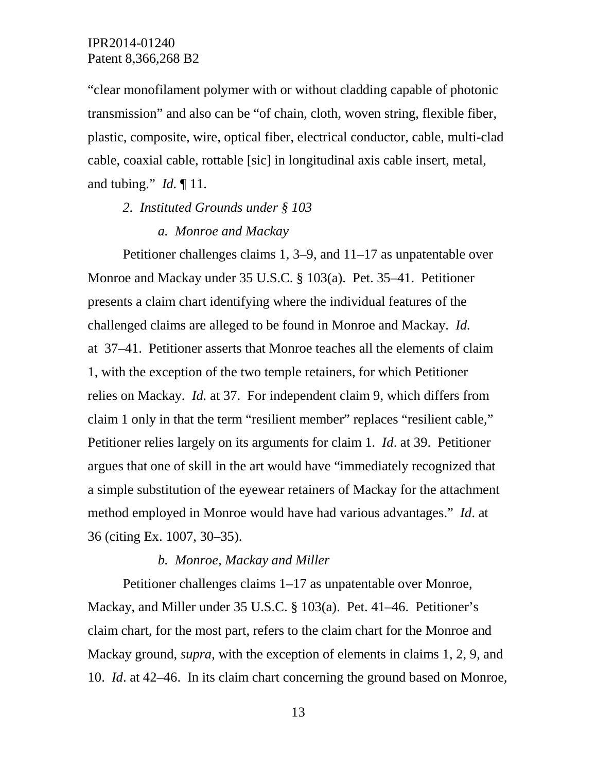"clear monofilament polymer with or without cladding capable of photonic transmission" and also can be "of chain, cloth, woven string, flexible fiber, plastic, composite, wire, optical fiber, electrical conductor, cable, multi-clad cable, coaxial cable, rottable [sic] in longitudinal axis cable insert, metal, and tubing." *Id.* ¶ 11.

### *2. Instituted Grounds under § 103*

#### *a. Monroe and Mackay*

Petitioner challenges claims 1, 3–9, and 11–17 as unpatentable over Monroe and Mackay under 35 U.S.C. § 103(a). Pet. 35–41. Petitioner presents a claim chart identifying where the individual features of the challenged claims are alleged to be found in Monroe and Mackay. *Id.*  at 37–41. Petitioner asserts that Monroe teaches all the elements of claim 1, with the exception of the two temple retainers, for which Petitioner relies on Mackay. *Id.* at 37. For independent claim 9, which differs from claim 1 only in that the term "resilient member" replaces "resilient cable," Petitioner relies largely on its arguments for claim 1. *Id*. at 39. Petitioner argues that one of skill in the art would have "immediately recognized that a simple substitution of the eyewear retainers of Mackay for the attachment method employed in Monroe would have had various advantages." *Id*. at 36 (citing Ex. 1007, 30–35).

#### *b. Monroe, Mackay and Miller*

Petitioner challenges claims 1–17 as unpatentable over Monroe, Mackay, and Miller under 35 U.S.C. § 103(a). Pet. 41–46. Petitioner's claim chart, for the most part, refers to the claim chart for the Monroe and Mackay ground, *supra*, with the exception of elements in claims 1, 2, 9, and 10. *Id*. at 42–46. In its claim chart concerning the ground based on Monroe,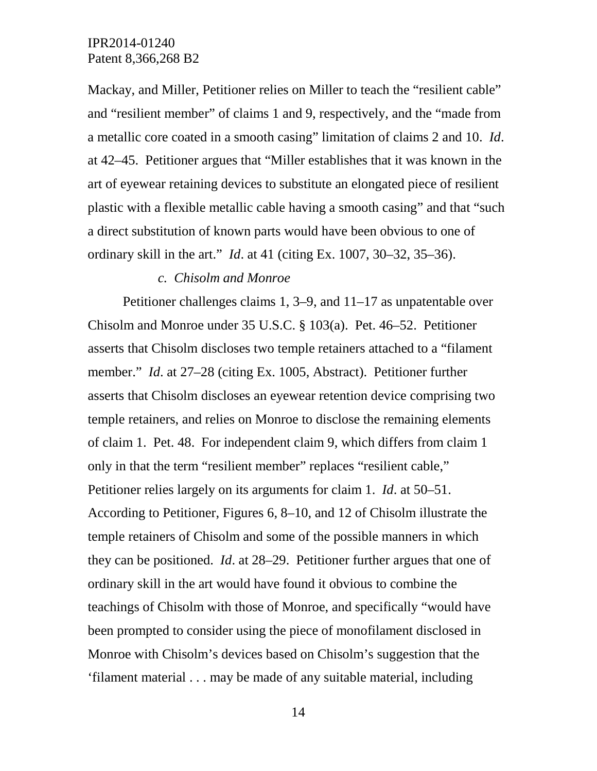Mackay, and Miller, Petitioner relies on Miller to teach the "resilient cable" and "resilient member" of claims 1 and 9, respectively, and the "made from a metallic core coated in a smooth casing" limitation of claims 2 and 10. *Id*. at 42–45. Petitioner argues that "Miller establishes that it was known in the art of eyewear retaining devices to substitute an elongated piece of resilient plastic with a flexible metallic cable having a smooth casing" and that "such a direct substitution of known parts would have been obvious to one of ordinary skill in the art." *Id*. at 41 (citing Ex. 1007, 30–32, 35–36).

#### *c. Chisolm and Monroe*

Petitioner challenges claims 1, 3–9, and 11–17 as unpatentable over Chisolm and Monroe under 35 U.S.C. § 103(a). Pet. 46–52. Petitioner asserts that Chisolm discloses two temple retainers attached to a "filament member." *Id*. at 27–28 (citing Ex. 1005, Abstract). Petitioner further asserts that Chisolm discloses an eyewear retention device comprising two temple retainers, and relies on Monroe to disclose the remaining elements of claim 1. Pet. 48. For independent claim 9, which differs from claim 1 only in that the term "resilient member" replaces "resilient cable," Petitioner relies largely on its arguments for claim 1. *Id*. at 50–51. According to Petitioner, Figures 6, 8–10, and 12 of Chisolm illustrate the temple retainers of Chisolm and some of the possible manners in which they can be positioned. *Id*. at 28–29. Petitioner further argues that one of ordinary skill in the art would have found it obvious to combine the teachings of Chisolm with those of Monroe, and specifically "would have been prompted to consider using the piece of monofilament disclosed in Monroe with Chisolm's devices based on Chisolm's suggestion that the 'filament material . . . may be made of any suitable material, including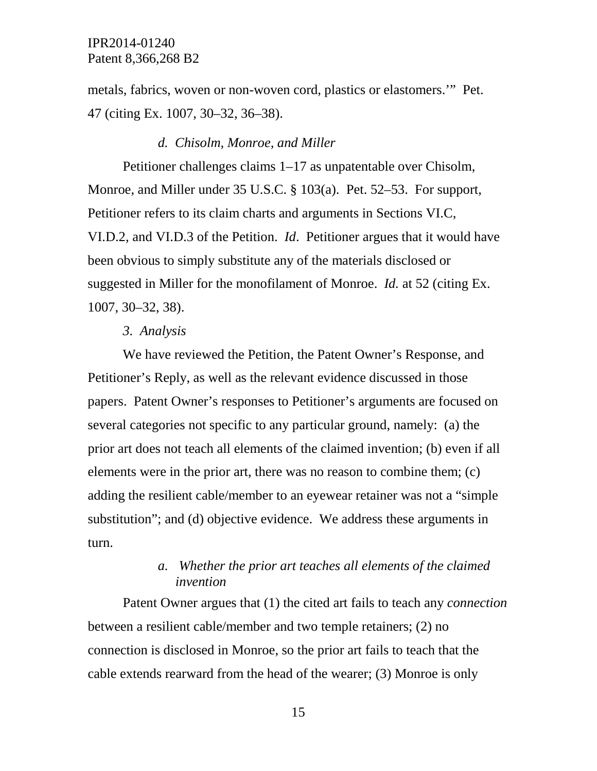metals, fabrics, woven or non-woven cord, plastics or elastomers.'" Pet. 47 (citing Ex. 1007, 30–32, 36–38).

#### *d. Chisolm, Monroe, and Miller*

Petitioner challenges claims 1–17 as unpatentable over Chisolm, Monroe, and Miller under 35 U.S.C. § 103(a). Pet. 52–53. For support, Petitioner refers to its claim charts and arguments in Sections VI.C, VI.D.2, and VI.D.3 of the Petition. *Id*. Petitioner argues that it would have been obvious to simply substitute any of the materials disclosed or suggested in Miller for the monofilament of Monroe. *Id.* at 52 (citing Ex. 1007, 30–32, 38).

#### *3. Analysis*

We have reviewed the Petition, the Patent Owner's Response, and Petitioner's Reply, as well as the relevant evidence discussed in those papers. Patent Owner's responses to Petitioner's arguments are focused on several categories not specific to any particular ground, namely: (a) the prior art does not teach all elements of the claimed invention; (b) even if all elements were in the prior art, there was no reason to combine them; (c) adding the resilient cable/member to an eyewear retainer was not a "simple substitution"; and (d) objective evidence. We address these arguments in turn.

# *a. Whether the prior art teaches all elements of the claimed invention*

Patent Owner argues that (1) the cited art fails to teach any *connection* between a resilient cable/member and two temple retainers; (2) no connection is disclosed in Monroe, so the prior art fails to teach that the cable extends rearward from the head of the wearer; (3) Monroe is only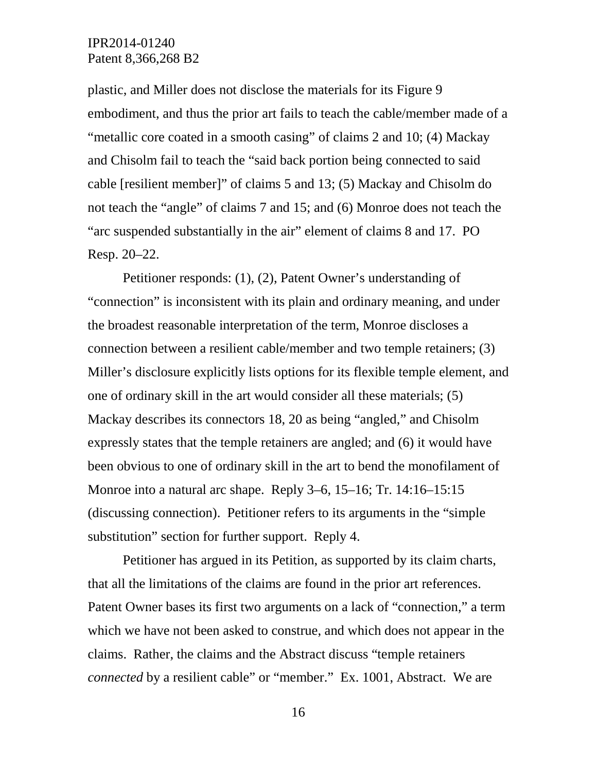plastic, and Miller does not disclose the materials for its Figure 9 embodiment, and thus the prior art fails to teach the cable/member made of a "metallic core coated in a smooth casing" of claims 2 and 10; (4) Mackay and Chisolm fail to teach the "said back portion being connected to said cable [resilient member]" of claims 5 and 13; (5) Mackay and Chisolm do not teach the "angle" of claims 7 and 15; and (6) Monroe does not teach the "arc suspended substantially in the air" element of claims 8 and 17. PO Resp. 20–22.

Petitioner responds: (1), (2), Patent Owner's understanding of "connection" is inconsistent with its plain and ordinary meaning, and under the broadest reasonable interpretation of the term, Monroe discloses a connection between a resilient cable/member and two temple retainers; (3) Miller's disclosure explicitly lists options for its flexible temple element, and one of ordinary skill in the art would consider all these materials; (5) Mackay describes its connectors 18, 20 as being "angled," and Chisolm expressly states that the temple retainers are angled; and (6) it would have been obvious to one of ordinary skill in the art to bend the monofilament of Monroe into a natural arc shape. Reply 3–6, 15–16; Tr. 14:16–15:15 (discussing connection). Petitioner refers to its arguments in the "simple substitution" section for further support. Reply 4.

Petitioner has argued in its Petition, as supported by its claim charts, that all the limitations of the claims are found in the prior art references. Patent Owner bases its first two arguments on a lack of "connection," a term which we have not been asked to construe, and which does not appear in the claims. Rather, the claims and the Abstract discuss "temple retainers *connected* by a resilient cable" or "member." Ex. 1001, Abstract. We are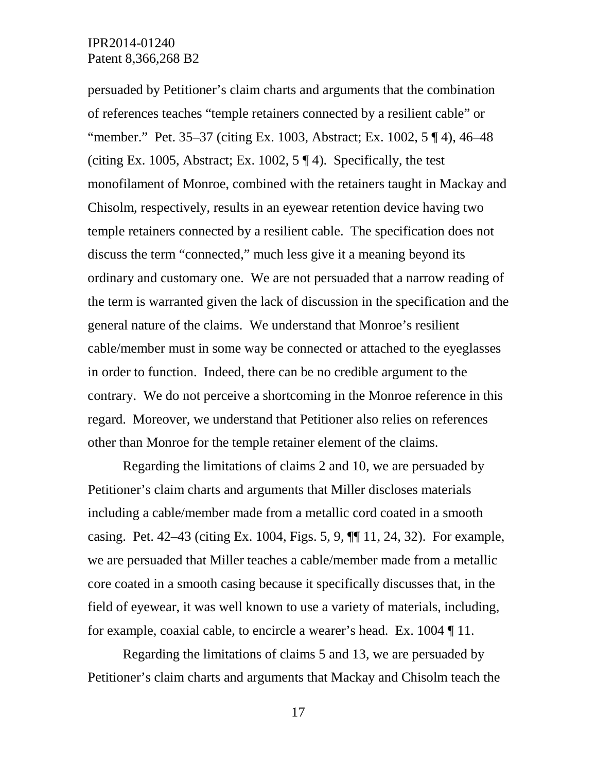persuaded by Petitioner's claim charts and arguments that the combination of references teaches "temple retainers connected by a resilient cable" or "member." Pet. 35–37 (citing Ex. 1003, Abstract; Ex. 1002, 5 ¶ 4), 46–48 (citing Ex. 1005, Abstract; Ex. 1002,  $5 \nparallel 4$ ). Specifically, the test monofilament of Monroe, combined with the retainers taught in Mackay and Chisolm, respectively, results in an eyewear retention device having two temple retainers connected by a resilient cable. The specification does not discuss the term "connected," much less give it a meaning beyond its ordinary and customary one. We are not persuaded that a narrow reading of the term is warranted given the lack of discussion in the specification and the general nature of the claims. We understand that Monroe's resilient cable/member must in some way be connected or attached to the eyeglasses in order to function. Indeed, there can be no credible argument to the contrary. We do not perceive a shortcoming in the Monroe reference in this regard. Moreover, we understand that Petitioner also relies on references other than Monroe for the temple retainer element of the claims.

Regarding the limitations of claims 2 and 10, we are persuaded by Petitioner's claim charts and arguments that Miller discloses materials including a cable/member made from a metallic cord coated in a smooth casing. Pet. 42–43 (citing Ex. 1004, Figs. 5, 9, ¶¶ 11, 24, 32). For example, we are persuaded that Miller teaches a cable/member made from a metallic core coated in a smooth casing because it specifically discusses that, in the field of eyewear, it was well known to use a variety of materials, including, for example, coaxial cable, to encircle a wearer's head. Ex. 1004 ¶ 11.

Regarding the limitations of claims 5 and 13, we are persuaded by Petitioner's claim charts and arguments that Mackay and Chisolm teach the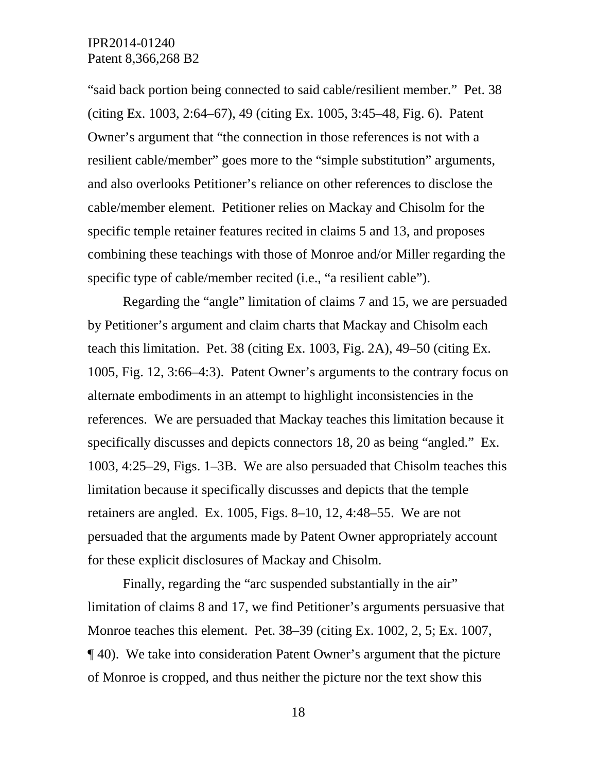"said back portion being connected to said cable/resilient member." Pet. 38 (citing Ex. 1003, 2:64–67), 49 (citing Ex. 1005, 3:45–48, Fig. 6). Patent Owner's argument that "the connection in those references is not with a resilient cable/member" goes more to the "simple substitution" arguments, and also overlooks Petitioner's reliance on other references to disclose the cable/member element. Petitioner relies on Mackay and Chisolm for the specific temple retainer features recited in claims 5 and 13, and proposes combining these teachings with those of Monroe and/or Miller regarding the specific type of cable/member recited (i.e., "a resilient cable").

Regarding the "angle" limitation of claims 7 and 15, we are persuaded by Petitioner's argument and claim charts that Mackay and Chisolm each teach this limitation. Pet. 38 (citing Ex. 1003, Fig. 2A), 49–50 (citing Ex. 1005, Fig. 12, 3:66–4:3). Patent Owner's arguments to the contrary focus on alternate embodiments in an attempt to highlight inconsistencies in the references. We are persuaded that Mackay teaches this limitation because it specifically discusses and depicts connectors 18, 20 as being "angled." Ex. 1003, 4:25–29, Figs. 1–3B. We are also persuaded that Chisolm teaches this limitation because it specifically discusses and depicts that the temple retainers are angled. Ex. 1005, Figs. 8–10, 12, 4:48–55. We are not persuaded that the arguments made by Patent Owner appropriately account for these explicit disclosures of Mackay and Chisolm.

Finally, regarding the "arc suspended substantially in the air" limitation of claims 8 and 17, we find Petitioner's arguments persuasive that Monroe teaches this element. Pet. 38–39 (citing Ex. 1002, 2, 5; Ex. 1007, ¶ 40). We take into consideration Patent Owner's argument that the picture of Monroe is cropped, and thus neither the picture nor the text show this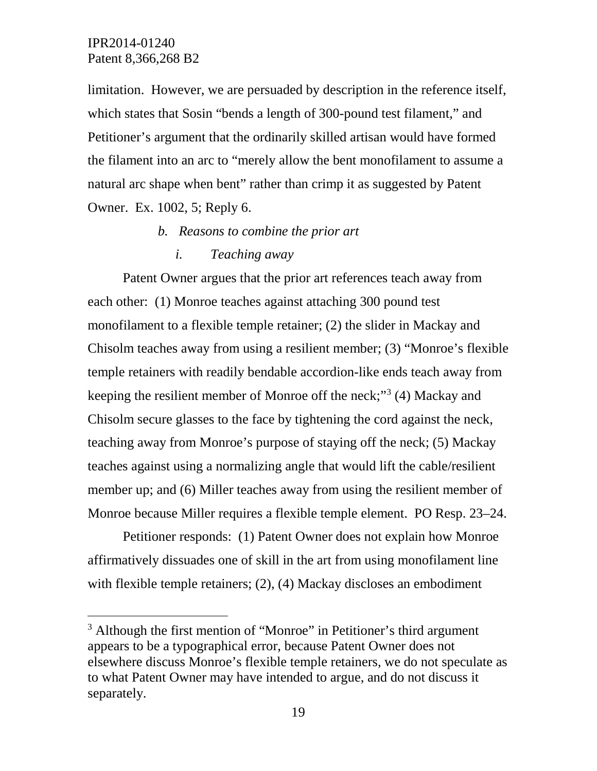limitation. However, we are persuaded by description in the reference itself, which states that Sosin "bends a length of 300-pound test filament," and Petitioner's argument that the ordinarily skilled artisan would have formed the filament into an arc to "merely allow the bent monofilament to assume a natural arc shape when bent" rather than crimp it as suggested by Patent Owner. Ex. 1002, 5; Reply 6.

- *b. Reasons to combine the prior art*
	- *i. Teaching away*

Patent Owner argues that the prior art references teach away from each other: (1) Monroe teaches against attaching 300 pound test monofilament to a flexible temple retainer; (2) the slider in Mackay and Chisolm teaches away from using a resilient member; (3) "Monroe's flexible temple retainers with readily bendable accordion-like ends teach away from keeping the resilient member of Monroe off the neck;"<sup>[3](#page-18-0)</sup> (4) Mackay and Chisolm secure glasses to the face by tightening the cord against the neck, teaching away from Monroe's purpose of staying off the neck; (5) Mackay teaches against using a normalizing angle that would lift the cable/resilient member up; and (6) Miller teaches away from using the resilient member of Monroe because Miller requires a flexible temple element. PO Resp. 23–24.

Petitioner responds: (1) Patent Owner does not explain how Monroe affirmatively dissuades one of skill in the art from using monofilament line with flexible temple retainers; (2), (4) Mackay discloses an embodiment

<span id="page-18-0"></span><sup>&</sup>lt;sup>3</sup> Although the first mention of "Monroe" in Petitioner's third argument appears to be a typographical error, because Patent Owner does not elsewhere discuss Monroe's flexible temple retainers, we do not speculate as to what Patent Owner may have intended to argue, and do not discuss it separately.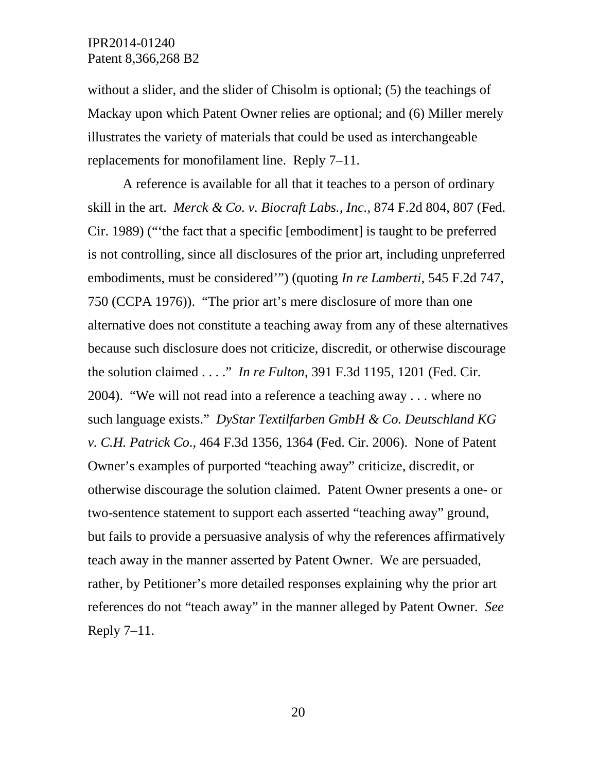without a slider, and the slider of Chisolm is optional; (5) the teachings of Mackay upon which Patent Owner relies are optional; and (6) Miller merely illustrates the variety of materials that could be used as interchangeable replacements for monofilament line. Reply 7–11.

A reference is available for all that it teaches to a person of ordinary skill in the art. *Merck & Co. v. Biocraft Labs., Inc.,* 874 F.2d 804, 807 (Fed. Cir. 1989) ("'the fact that a specific [embodiment] is taught to be preferred is not controlling, since all disclosures of the prior art, including unpreferred embodiments, must be considered'") (quoting *In re Lamberti*, 545 F.2d 747, 750 (CCPA 1976)). "The prior art's mere disclosure of more than one alternative does not constitute a teaching away from any of these alternatives because such disclosure does not criticize, discredit, or otherwise discourage the solution claimed . . . ." *In re Fulton*, 391 F.3d 1195, 1201 (Fed. Cir. 2004). "We will not read into a reference a teaching away . . . where no such language exists." *DyStar Textilfarben GmbH & Co. Deutschland KG v. C.H. Patrick Co*., 464 F.3d 1356, 1364 (Fed. Cir. 2006). None of Patent Owner's examples of purported "teaching away" criticize, discredit, or otherwise discourage the solution claimed. Patent Owner presents a one- or two-sentence statement to support each asserted "teaching away" ground, but fails to provide a persuasive analysis of why the references affirmatively teach away in the manner asserted by Patent Owner. We are persuaded, rather, by Petitioner's more detailed responses explaining why the prior art references do not "teach away" in the manner alleged by Patent Owner. *See* Reply  $7-11$ .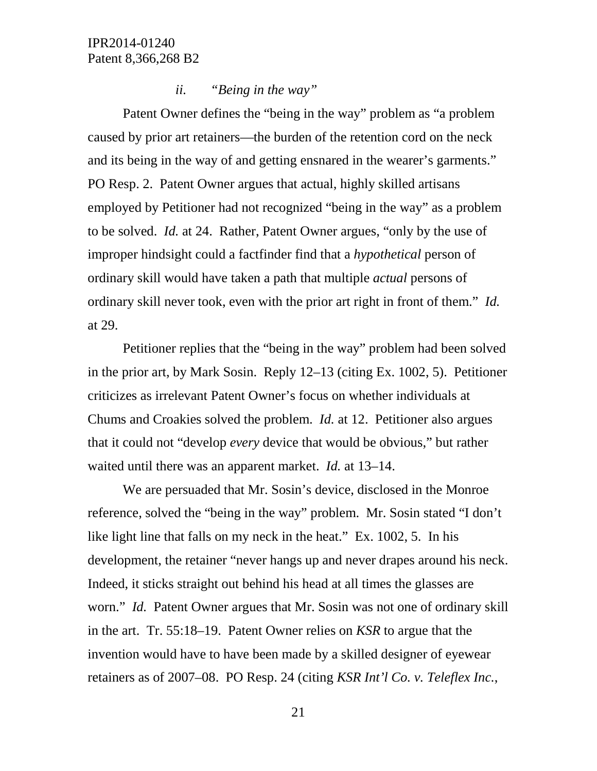### *ii. "Being in the way"*

Patent Owner defines the "being in the way" problem as "a problem caused by prior art retainers—the burden of the retention cord on the neck and its being in the way of and getting ensnared in the wearer's garments." PO Resp. 2. Patent Owner argues that actual, highly skilled artisans employed by Petitioner had not recognized "being in the way" as a problem to be solved. *Id.* at 24. Rather, Patent Owner argues, "only by the use of improper hindsight could a factfinder find that a *hypothetical* person of ordinary skill would have taken a path that multiple *actual* persons of ordinary skill never took, even with the prior art right in front of them." *Id.*  at 29.

Petitioner replies that the "being in the way" problem had been solved in the prior art, by Mark Sosin. Reply 12–13 (citing Ex. 1002, 5). Petitioner criticizes as irrelevant Patent Owner's focus on whether individuals at Chums and Croakies solved the problem. *Id.* at 12. Petitioner also argues that it could not "develop *every* device that would be obvious," but rather waited until there was an apparent market. *Id.* at 13–14.

We are persuaded that Mr. Sosin's device, disclosed in the Monroe reference, solved the "being in the way" problem. Mr. Sosin stated "I don't like light line that falls on my neck in the heat." Ex. 1002, 5. In his development, the retainer "never hangs up and never drapes around his neck. Indeed, it sticks straight out behind his head at all times the glasses are worn." *Id.* Patent Owner argues that Mr. Sosin was not one of ordinary skill in the art. Tr. 55:18–19. Patent Owner relies on *KSR* to argue that the invention would have to have been made by a skilled designer of eyewear retainers as of 2007–08. PO Resp. 24 (citing *KSR Int'l Co. v. Teleflex Inc.*,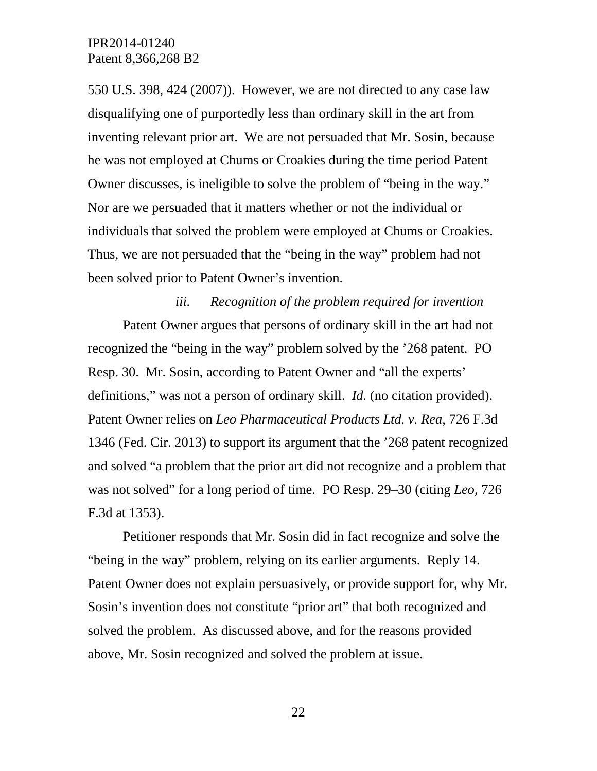550 U.S. 398, 424 (2007)). However, we are not directed to any case law disqualifying one of purportedly less than ordinary skill in the art from inventing relevant prior art. We are not persuaded that Mr. Sosin, because he was not employed at Chums or Croakies during the time period Patent Owner discusses, is ineligible to solve the problem of "being in the way." Nor are we persuaded that it matters whether or not the individual or individuals that solved the problem were employed at Chums or Croakies. Thus, we are not persuaded that the "being in the way" problem had not been solved prior to Patent Owner's invention.

*iii. Recognition of the problem required for invention* Patent Owner argues that persons of ordinary skill in the art had not recognized the "being in the way" problem solved by the '268 patent. PO Resp. 30. Mr. Sosin, according to Patent Owner and "all the experts' definitions," was not a person of ordinary skill. *Id.* (no citation provided). Patent Owner relies on *Leo Pharmaceutical Products Ltd. v. Rea*, 726 F.3d 1346 (Fed. Cir. 2013) to support its argument that the '268 patent recognized and solved "a problem that the prior art did not recognize and a problem that was not solved" for a long period of time. PO Resp. 29–30 (citing *Leo*, 726 F.3d at 1353).

Petitioner responds that Mr. Sosin did in fact recognize and solve the "being in the way" problem, relying on its earlier arguments. Reply 14. Patent Owner does not explain persuasively, or provide support for, why Mr. Sosin's invention does not constitute "prior art" that both recognized and solved the problem. As discussed above, and for the reasons provided above, Mr. Sosin recognized and solved the problem at issue.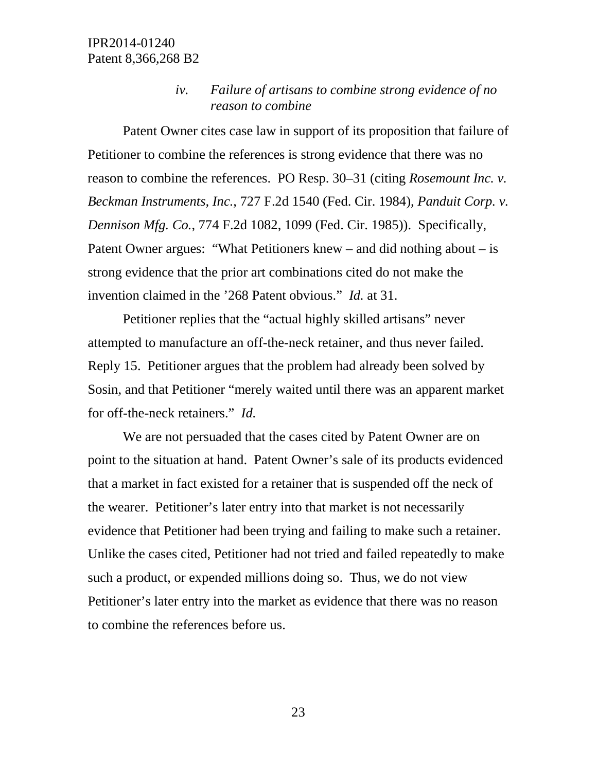# *iv. Failure of artisans to combine strong evidence of no reason to combine*

Patent Owner cites case law in support of its proposition that failure of Petitioner to combine the references is strong evidence that there was no reason to combine the references. PO Resp. 30–31 (citing *Rosemount Inc. v. Beckman Instruments, Inc.*, 727 F.2d 1540 (Fed. Cir. 1984), *Panduit Corp. v. Dennison Mfg. Co.*, 774 F.2d 1082, 1099 (Fed. Cir. 1985)). Specifically, Patent Owner argues: "What Petitioners knew – and did nothing about – is strong evidence that the prior art combinations cited do not make the invention claimed in the '268 Patent obvious." *Id.* at 31.

Petitioner replies that the "actual highly skilled artisans" never attempted to manufacture an off-the-neck retainer, and thus never failed. Reply 15. Petitioner argues that the problem had already been solved by Sosin, and that Petitioner "merely waited until there was an apparent market for off-the-neck retainers." *Id.* 

We are not persuaded that the cases cited by Patent Owner are on point to the situation at hand. Patent Owner's sale of its products evidenced that a market in fact existed for a retainer that is suspended off the neck of the wearer. Petitioner's later entry into that market is not necessarily evidence that Petitioner had been trying and failing to make such a retainer. Unlike the cases cited, Petitioner had not tried and failed repeatedly to make such a product, or expended millions doing so. Thus, we do not view Petitioner's later entry into the market as evidence that there was no reason to combine the references before us.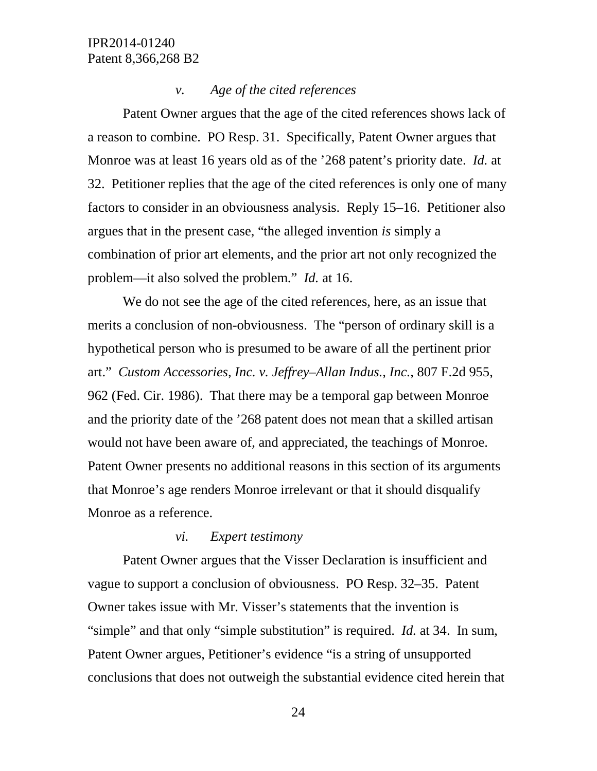#### *v. Age of the cited references*

Patent Owner argues that the age of the cited references shows lack of a reason to combine. PO Resp. 31. Specifically, Patent Owner argues that Monroe was at least 16 years old as of the '268 patent's priority date. *Id.* at 32. Petitioner replies that the age of the cited references is only one of many factors to consider in an obviousness analysis. Reply 15–16. Petitioner also argues that in the present case, "the alleged invention *is* simply a combination of prior art elements, and the prior art not only recognized the problem—it also solved the problem." *Id.* at 16.

We do not see the age of the cited references, here, as an issue that merits a conclusion of non-obviousness. The "person of ordinary skill is a hypothetical person who is presumed to be aware of all the pertinent prior art." *Custom Accessories, Inc. v. Jeffrey–Allan Indus., Inc.*, 807 F.2d 955, 962 (Fed. Cir. 1986). That there may be a temporal gap between Monroe and the priority date of the '268 patent does not mean that a skilled artisan would not have been aware of, and appreciated, the teachings of Monroe. Patent Owner presents no additional reasons in this section of its arguments that Monroe's age renders Monroe irrelevant or that it should disqualify Monroe as a reference.

### *vi. Expert testimony*

Patent Owner argues that the Visser Declaration is insufficient and vague to support a conclusion of obviousness. PO Resp. 32–35. Patent Owner takes issue with Mr. Visser's statements that the invention is "simple" and that only "simple substitution" is required. *Id.* at 34. In sum, Patent Owner argues, Petitioner's evidence "is a string of unsupported conclusions that does not outweigh the substantial evidence cited herein that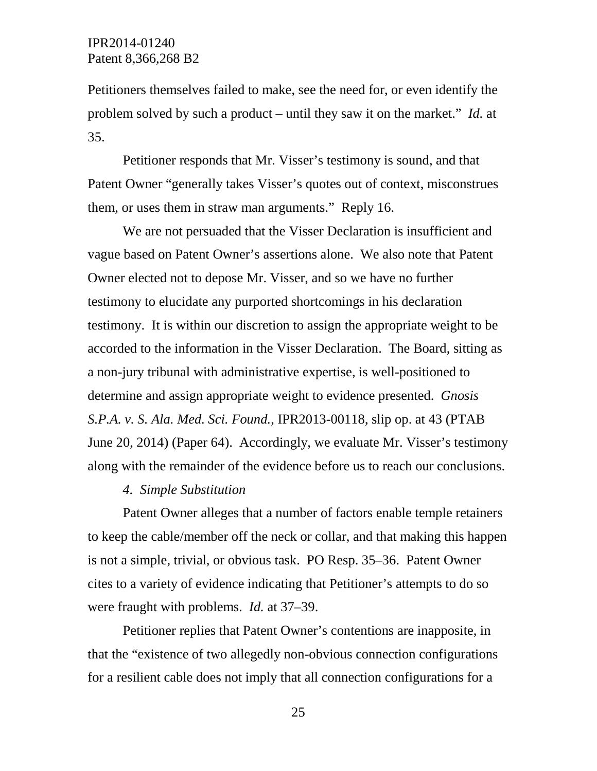Petitioners themselves failed to make, see the need for, or even identify the problem solved by such a product – until they saw it on the market." *Id.* at 35.

Petitioner responds that Mr. Visser's testimony is sound, and that Patent Owner "generally takes Visser's quotes out of context, misconstrues them, or uses them in straw man arguments." Reply 16.

We are not persuaded that the Visser Declaration is insufficient and vague based on Patent Owner's assertions alone. We also note that Patent Owner elected not to depose Mr. Visser, and so we have no further testimony to elucidate any purported shortcomings in his declaration testimony. It is within our discretion to assign the appropriate weight to be accorded to the information in the Visser Declaration. The Board, sitting as a non-jury tribunal with administrative expertise, is well-positioned to determine and assign appropriate weight to evidence presented. *Gnosis S.P.A. v. S. Ala. Med. Sci. Found.*, IPR2013-00118, slip op. at 43 (PTAB June 20, 2014) (Paper 64). Accordingly, we evaluate Mr. Visser's testimony along with the remainder of the evidence before us to reach our conclusions.

#### *4. Simple Substitution*

Patent Owner alleges that a number of factors enable temple retainers to keep the cable/member off the neck or collar, and that making this happen is not a simple, trivial, or obvious task. PO Resp. 35–36. Patent Owner cites to a variety of evidence indicating that Petitioner's attempts to do so were fraught with problems. *Id.* at 37–39.

Petitioner replies that Patent Owner's contentions are inapposite, in that the "existence of two allegedly non-obvious connection configurations for a resilient cable does not imply that all connection configurations for a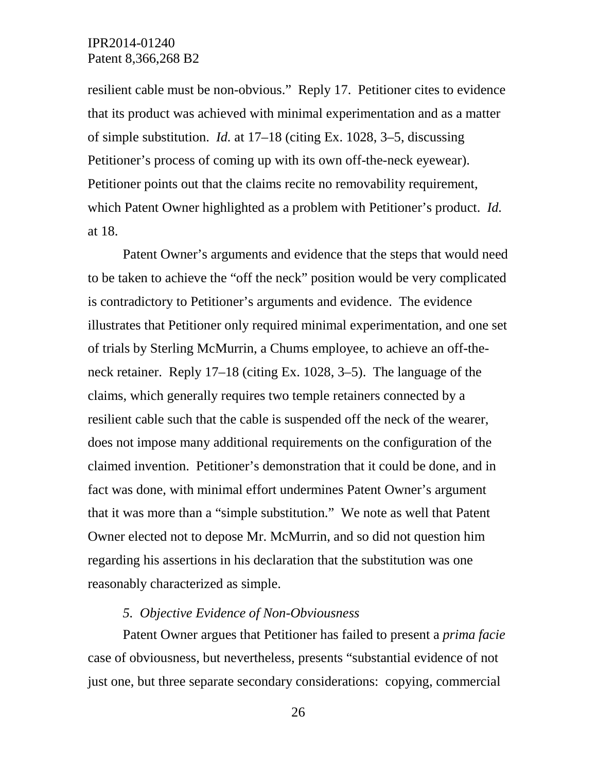resilient cable must be non-obvious." Reply 17. Petitioner cites to evidence that its product was achieved with minimal experimentation and as a matter of simple substitution. *Id.* at 17–18 (citing Ex. 1028, 3–5, discussing Petitioner's process of coming up with its own off-the-neck eyewear). Petitioner points out that the claims recite no removability requirement, which Patent Owner highlighted as a problem with Petitioner's product. *Id.*  at 18.

Patent Owner's arguments and evidence that the steps that would need to be taken to achieve the "off the neck" position would be very complicated is contradictory to Petitioner's arguments and evidence. The evidence illustrates that Petitioner only required minimal experimentation, and one set of trials by Sterling McMurrin, a Chums employee, to achieve an off-theneck retainer. Reply 17–18 (citing Ex. 1028, 3–5). The language of the claims, which generally requires two temple retainers connected by a resilient cable such that the cable is suspended off the neck of the wearer, does not impose many additional requirements on the configuration of the claimed invention. Petitioner's demonstration that it could be done, and in fact was done, with minimal effort undermines Patent Owner's argument that it was more than a "simple substitution." We note as well that Patent Owner elected not to depose Mr. McMurrin, and so did not question him regarding his assertions in his declaration that the substitution was one reasonably characterized as simple.

#### *5. Objective Evidence of Non-Obviousness*

Patent Owner argues that Petitioner has failed to present a *prima facie* case of obviousness, but nevertheless, presents "substantial evidence of not just one, but three separate secondary considerations: copying, commercial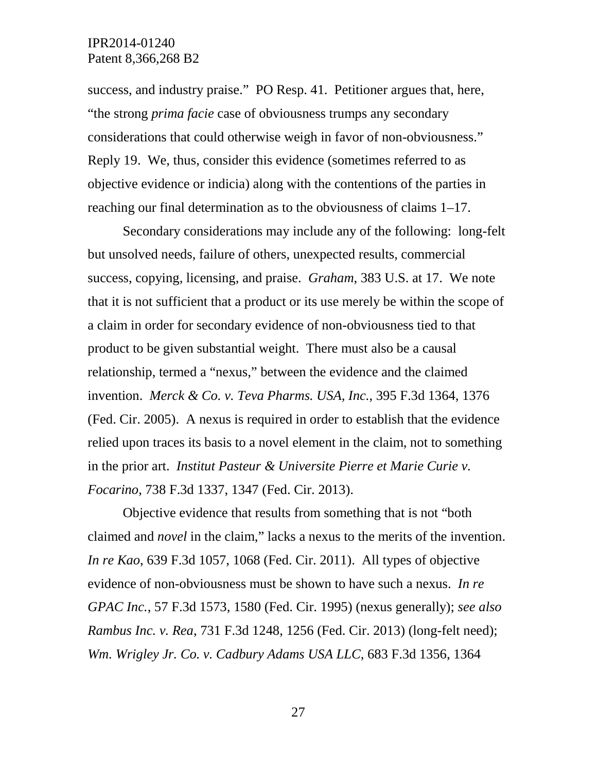success, and industry praise." PO Resp. 41. Petitioner argues that, here, "the strong *prima facie* case of obviousness trumps any secondary considerations that could otherwise weigh in favor of non-obviousness." Reply 19. We, thus, consider this evidence (sometimes referred to as objective evidence or indicia) along with the contentions of the parties in reaching our final determination as to the obviousness of claims 1–17.

Secondary considerations may include any of the following: long-felt but unsolved needs, failure of others, unexpected results, commercial success, copying, licensing, and praise. *Graham*, 383 U.S. at 17. We note that it is not sufficient that a product or its use merely be within the scope of a claim in order for secondary evidence of non-obviousness tied to that product to be given substantial weight. There must also be a causal relationship, termed a "nexus," between the evidence and the claimed invention. *Merck & Co. v. Teva Pharms. USA, Inc.*, 395 F.3d 1364, 1376 (Fed. Cir. 2005). A nexus is required in order to establish that the evidence relied upon traces its basis to a novel element in the claim, not to something in the prior art. *Institut Pasteur & Universite Pierre et Marie Curie v. Focarino*, 738 F.3d 1337, 1347 (Fed. Cir. 2013).

Objective evidence that results from something that is not "both claimed and *novel* in the claim," lacks a nexus to the merits of the invention. *In re Kao*, 639 F.3d 1057, 1068 (Fed. Cir. 2011). All types of objective evidence of non-obviousness must be shown to have such a nexus. *In re GPAC Inc.*, 57 F.3d 1573, 1580 (Fed. Cir. 1995) (nexus generally); *see also Rambus Inc. v. Rea*, 731 F.3d 1248, 1256 (Fed. Cir. 2013) (long-felt need); *Wm. Wrigley Jr. Co. v. Cadbury Adams USA LLC*, 683 F.3d 1356, 1364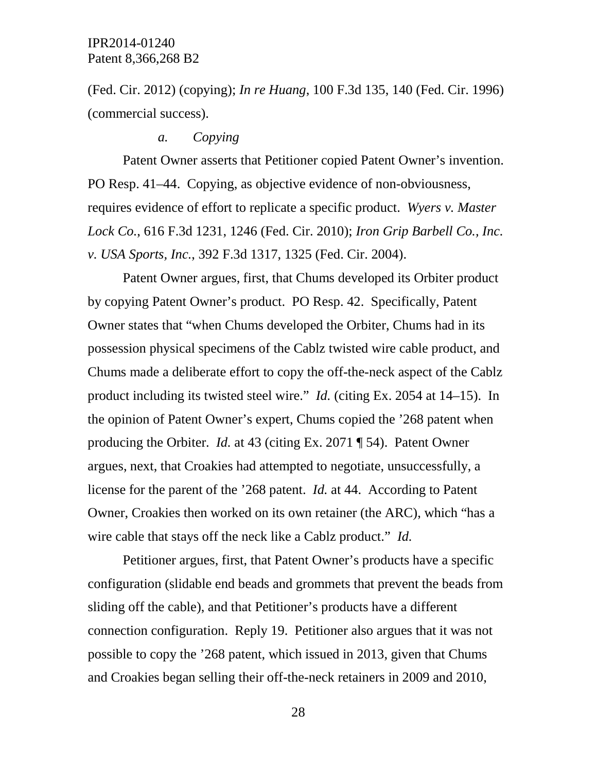(Fed. Cir. 2012) (copying); *In re Huang*, 100 F.3d 135, 140 (Fed. Cir. 1996) (commercial success).

#### *a. Copying*

Patent Owner asserts that Petitioner copied Patent Owner's invention. PO Resp. 41–44. Copying, as objective evidence of non-obviousness, requires evidence of effort to replicate a specific product. *Wyers v. Master Lock Co.*, 616 F.3d 1231, 1246 (Fed. Cir. 2010); *Iron Grip Barbell Co., Inc. v. USA Sports, Inc.*, 392 F.3d 1317, 1325 (Fed. Cir. 2004).

Patent Owner argues, first, that Chums developed its Orbiter product by copying Patent Owner's product. PO Resp. 42. Specifically, Patent Owner states that "when Chums developed the Orbiter, Chums had in its possession physical specimens of the Cablz twisted wire cable product, and Chums made a deliberate effort to copy the off-the-neck aspect of the Cablz product including its twisted steel wire." *Id.* (citing Ex. 2054 at 14–15). In the opinion of Patent Owner's expert, Chums copied the '268 patent when producing the Orbiter. *Id.* at 43 (citing Ex. 2071 ¶ 54). Patent Owner argues, next, that Croakies had attempted to negotiate, unsuccessfully, a license for the parent of the '268 patent. *Id.* at 44. According to Patent Owner, Croakies then worked on its own retainer (the ARC), which "has a wire cable that stays off the neck like a Cablz product." *Id.* 

Petitioner argues, first, that Patent Owner's products have a specific configuration (slidable end beads and grommets that prevent the beads from sliding off the cable), and that Petitioner's products have a different connection configuration. Reply 19. Petitioner also argues that it was not possible to copy the '268 patent, which issued in 2013, given that Chums and Croakies began selling their off-the-neck retainers in 2009 and 2010,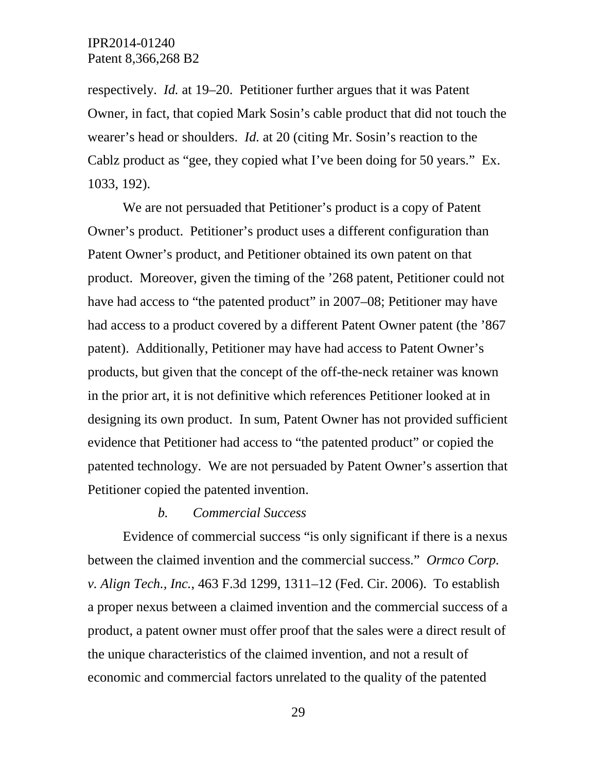respectively. *Id.* at 19–20. Petitioner further argues that it was Patent Owner, in fact, that copied Mark Sosin's cable product that did not touch the wearer's head or shoulders. *Id.* at 20 (citing Mr. Sosin's reaction to the Cablz product as "gee, they copied what I've been doing for 50 years." Ex. 1033, 192).

We are not persuaded that Petitioner's product is a copy of Patent Owner's product. Petitioner's product uses a different configuration than Patent Owner's product, and Petitioner obtained its own patent on that product. Moreover, given the timing of the '268 patent, Petitioner could not have had access to "the patented product" in 2007–08; Petitioner may have had access to a product covered by a different Patent Owner patent (the '867 patent). Additionally, Petitioner may have had access to Patent Owner's products, but given that the concept of the off-the-neck retainer was known in the prior art, it is not definitive which references Petitioner looked at in designing its own product. In sum, Patent Owner has not provided sufficient evidence that Petitioner had access to "the patented product" or copied the patented technology. We are not persuaded by Patent Owner's assertion that Petitioner copied the patented invention.

### *b. Commercial Success*

Evidence of commercial success "is only significant if there is a nexus between the claimed invention and the commercial success." *Ormco Corp. v. Align Tech., Inc.*, 463 F.3d 1299, 1311–12 (Fed. Cir. 2006). To establish a proper nexus between a claimed invention and the commercial success of a product, a patent owner must offer proof that the sales were a direct result of the unique characteristics of the claimed invention, and not a result of economic and commercial factors unrelated to the quality of the patented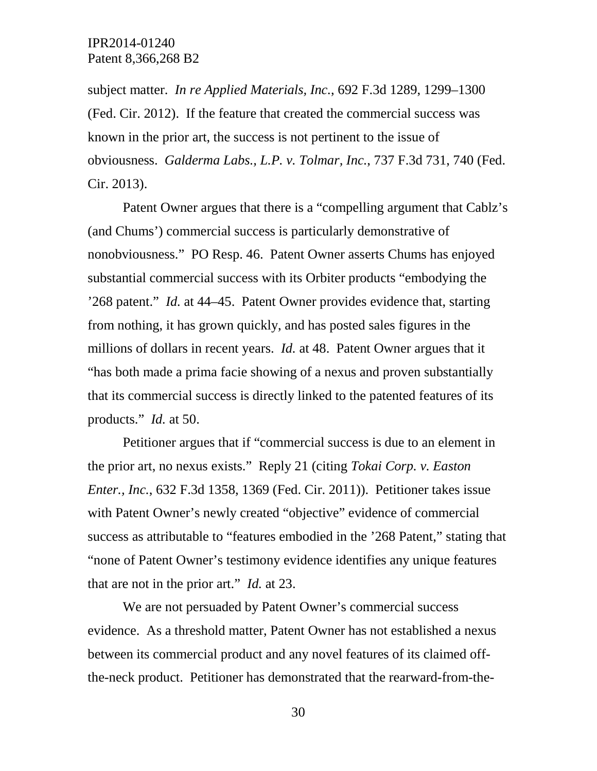subject matter. *In re Applied Materials, Inc.*, 692 F.3d 1289, 1299–1300 (Fed. Cir. 2012). If the feature that created the commercial success was known in the prior art, the success is not pertinent to the issue of obviousness. *Galderma Labs., L.P. v. Tolmar, Inc.*, 737 F.3d 731, 740 (Fed. Cir. 2013).

Patent Owner argues that there is a "compelling argument that Cablz's (and Chums') commercial success is particularly demonstrative of nonobviousness." PO Resp. 46. Patent Owner asserts Chums has enjoyed substantial commercial success with its Orbiter products "embodying the '268 patent." *Id.* at 44–45. Patent Owner provides evidence that, starting from nothing, it has grown quickly, and has posted sales figures in the millions of dollars in recent years. *Id.* at 48. Patent Owner argues that it "has both made a prima facie showing of a nexus and proven substantially that its commercial success is directly linked to the patented features of its products." *Id.* at 50.

Petitioner argues that if "commercial success is due to an element in the prior art, no nexus exists." Reply 21 (citing *Tokai Corp. v. Easton Enter., Inc.*, 632 F.3d 1358, 1369 (Fed. Cir. 2011)). Petitioner takes issue with Patent Owner's newly created "objective" evidence of commercial success as attributable to "features embodied in the '268 Patent," stating that "none of Patent Owner's testimony evidence identifies any unique features that are not in the prior art." *Id.* at 23.

We are not persuaded by Patent Owner's commercial success evidence. As a threshold matter, Patent Owner has not established a nexus between its commercial product and any novel features of its claimed offthe-neck product. Petitioner has demonstrated that the rearward-from-the-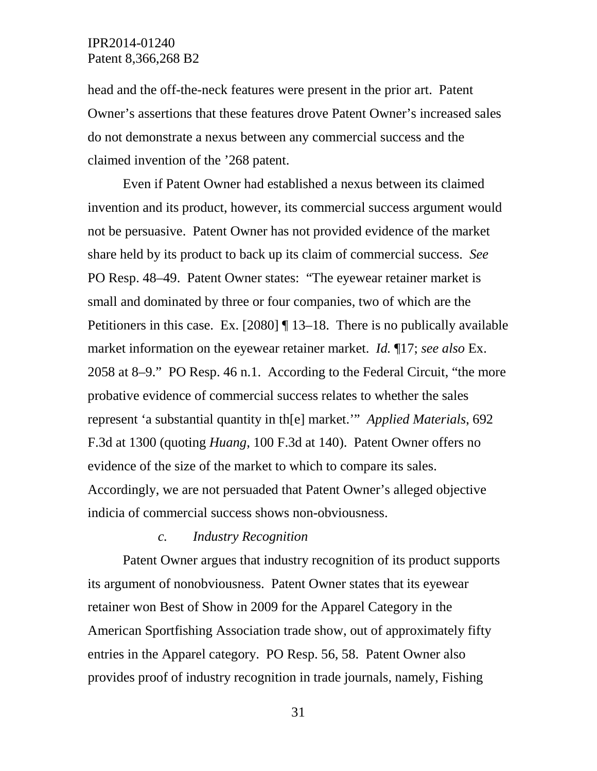head and the off-the-neck features were present in the prior art. Patent Owner's assertions that these features drove Patent Owner's increased sales do not demonstrate a nexus between any commercial success and the claimed invention of the '268 patent.

Even if Patent Owner had established a nexus between its claimed invention and its product, however, its commercial success argument would not be persuasive. Patent Owner has not provided evidence of the market share held by its product to back up its claim of commercial success. *See*  PO Resp. 48–49. Patent Owner states: "The eyewear retainer market is small and dominated by three or four companies, two of which are the Petitioners in this case. Ex. [2080] ¶ 13–18. There is no publically available market information on the eyewear retainer market. *Id.* ¶17; *see also* Ex. 2058 at 8–9." PO Resp. 46 n.1. According to the Federal Circuit, "the more probative evidence of commercial success relates to whether the sales represent 'a substantial quantity in th[e] market.'" *Applied Materials*, 692 F.3d at 1300 (quoting *Huang*, 100 F.3d at 140). Patent Owner offers no evidence of the size of the market to which to compare its sales. Accordingly, we are not persuaded that Patent Owner's alleged objective indicia of commercial success shows non-obviousness.

#### *c. Industry Recognition*

Patent Owner argues that industry recognition of its product supports its argument of nonobviousness. Patent Owner states that its eyewear retainer won Best of Show in 2009 for the Apparel Category in the American Sportfishing Association trade show, out of approximately fifty entries in the Apparel category. PO Resp. 56, 58. Patent Owner also provides proof of industry recognition in trade journals, namely, Fishing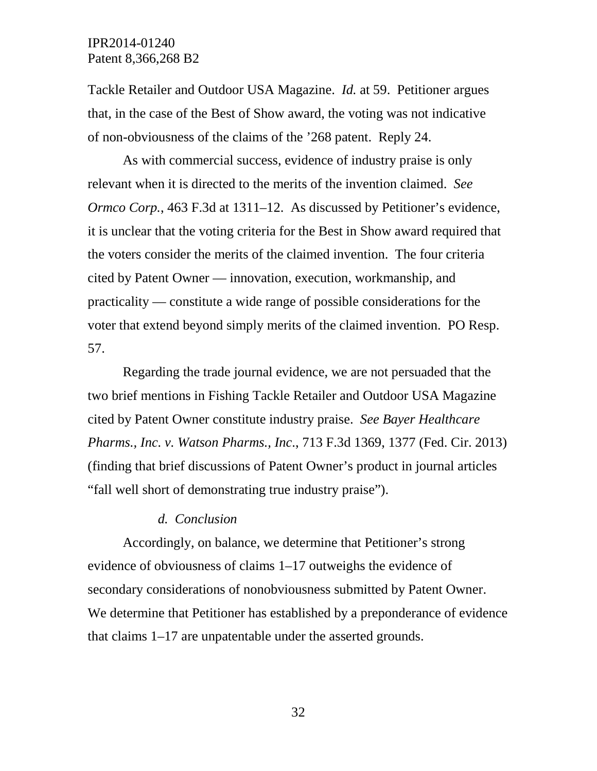Tackle Retailer and Outdoor USA Magazine. *Id.* at 59. Petitioner argues that, in the case of the Best of Show award, the voting was not indicative of non-obviousness of the claims of the '268 patent. Reply 24.

As with commercial success, evidence of industry praise is only relevant when it is directed to the merits of the invention claimed. *See Ormco Corp.*, 463 F.3d at 1311–12. As discussed by Petitioner's evidence, it is unclear that the voting criteria for the Best in Show award required that the voters consider the merits of the claimed invention. The four criteria cited by Patent Owner — innovation, execution, workmanship, and practicality — constitute a wide range of possible considerations for the voter that extend beyond simply merits of the claimed invention. PO Resp. 57.

Regarding the trade journal evidence, we are not persuaded that the two brief mentions in Fishing Tackle Retailer and Outdoor USA Magazine cited by Patent Owner constitute industry praise. *See Bayer Healthcare Pharms., Inc. v. Watson Pharms., Inc*., 713 F.3d 1369, 1377 (Fed. Cir. 2013) (finding that brief discussions of Patent Owner's product in journal articles "fall well short of demonstrating true industry praise").

#### *d. Conclusion*

Accordingly, on balance, we determine that Petitioner's strong evidence of obviousness of claims 1–17 outweighs the evidence of secondary considerations of nonobviousness submitted by Patent Owner. We determine that Petitioner has established by a preponderance of evidence that claims 1–17 are unpatentable under the asserted grounds.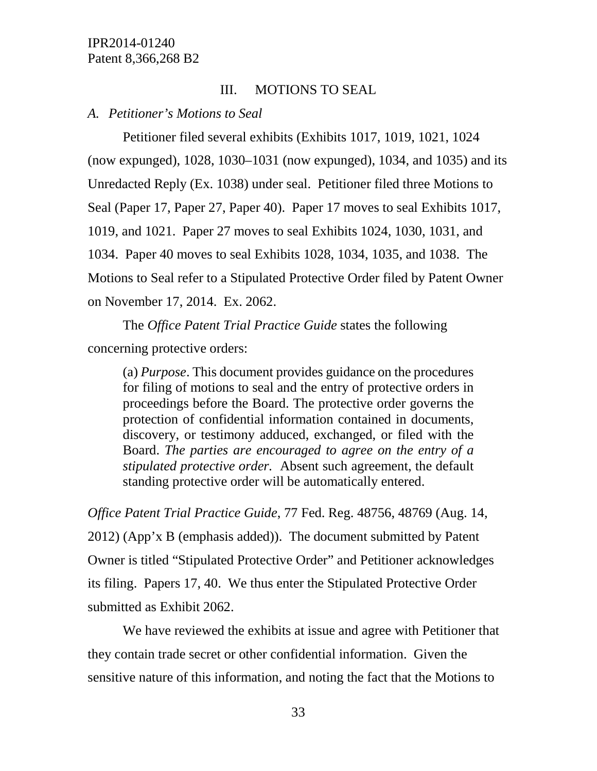## III. MOTIONS TO SEAL

### *A. Petitioner's Motions to Seal*

Petitioner filed several exhibits (Exhibits 1017, 1019, 1021, 1024 (now expunged), 1028, 1030–1031 (now expunged), 1034, and 1035) and its Unredacted Reply (Ex. 1038) under seal. Petitioner filed three Motions to Seal (Paper 17, Paper 27, Paper 40). Paper 17 moves to seal Exhibits 1017, 1019, and 1021. Paper 27 moves to seal Exhibits 1024, 1030, 1031, and 1034. Paper 40 moves to seal Exhibits 1028, 1034, 1035, and 1038. The Motions to Seal refer to a Stipulated Protective Order filed by Patent Owner on November 17, 2014. Ex. 2062.

The *Office Patent Trial Practice Guide* states the following concerning protective orders:

(a) *Purpose*. This document provides guidance on the procedures for filing of motions to seal and the entry of protective orders in proceedings before the Board. The protective order governs the protection of confidential information contained in documents, discovery, or testimony adduced, exchanged, or filed with the Board. *The parties are encouraged to agree on the entry of a stipulated protective order.* Absent such agreement, the default standing protective order will be automatically entered.

*Office Patent Trial Practice Guide*, 77 Fed. Reg. 48756, 48769 (Aug. 14, 2012) (App'x B (emphasis added)). The document submitted by Patent Owner is titled "Stipulated Protective Order" and Petitioner acknowledges its filing. Papers 17, 40. We thus enter the Stipulated Protective Order submitted as Exhibit 2062.

We have reviewed the exhibits at issue and agree with Petitioner that they contain trade secret or other confidential information. Given the sensitive nature of this information, and noting the fact that the Motions to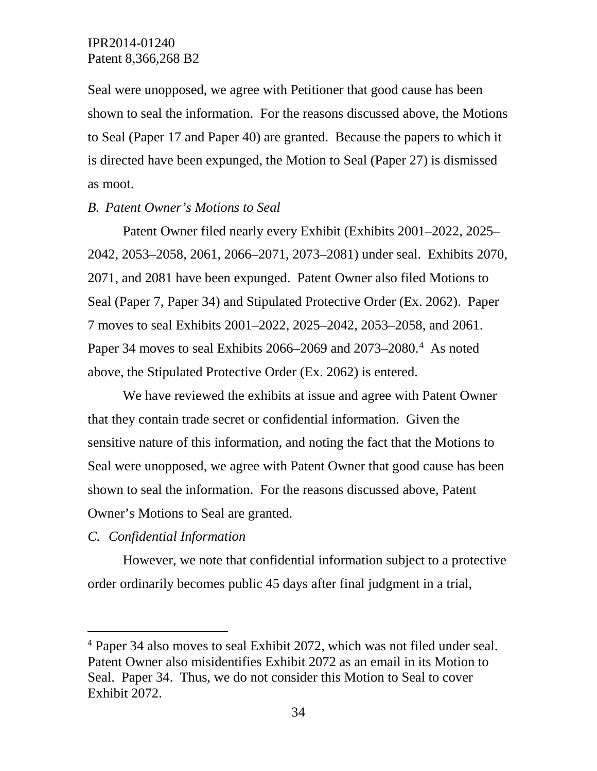Seal were unopposed, we agree with Petitioner that good cause has been shown to seal the information. For the reasons discussed above, the Motions to Seal (Paper 17 and Paper 40) are granted. Because the papers to which it is directed have been expunged, the Motion to Seal (Paper 27) is dismissed as moot.

### *B. Patent Owner's Motions to Seal*

Patent Owner filed nearly every Exhibit (Exhibits 2001–2022, 2025– 2042, 2053–2058, 2061, 2066–2071, 2073–2081) under seal. Exhibits 2070, 2071, and 2081 have been expunged. Patent Owner also filed Motions to Seal (Paper 7, Paper 34) and Stipulated Protective Order (Ex. 2062). Paper 7 moves to seal Exhibits 2001–2022, 2025–2042, 2053–2058, and 2061. Paper 3[4](#page-33-0) moves to seal Exhibits 2066–2069 and 2073–2080.<sup>4</sup> As noted above, the Stipulated Protective Order (Ex. 2062) is entered.

We have reviewed the exhibits at issue and agree with Patent Owner that they contain trade secret or confidential information. Given the sensitive nature of this information, and noting the fact that the Motions to Seal were unopposed, we agree with Patent Owner that good cause has been shown to seal the information. For the reasons discussed above, Patent Owner's Motions to Seal are granted.

### *C. Confidential Information*

However, we note that confidential information subject to a protective order ordinarily becomes public 45 days after final judgment in a trial,

<span id="page-33-0"></span> <sup>4</sup> Paper 34 also moves to seal Exhibit 2072, which was not filed under seal. Patent Owner also misidentifies Exhibit 2072 as an email in its Motion to Seal. Paper 34. Thus, we do not consider this Motion to Seal to cover Exhibit 2072.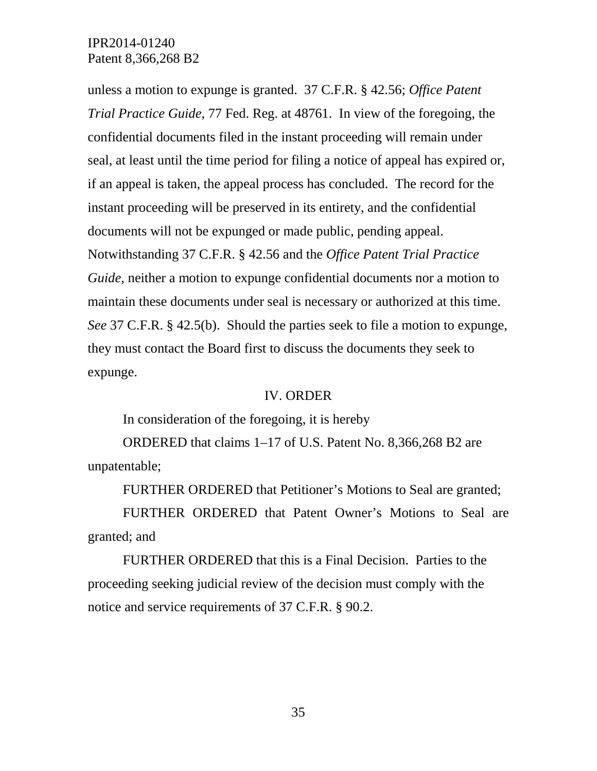unless a motion to expunge is granted. 37 C.F.R. § 42.56; *Office Patent Trial Practice Guide*, 77 Fed. Reg. at 48761. In view of the foregoing, the confidential documents filed in the instant proceeding will remain under seal, at least until the time period for filing a notice of appeal has expired or, if an appeal is taken, the appeal process has concluded. The record for the instant proceeding will be preserved in its entirety, and the confidential documents will not be expunged or made public, pending appeal. Notwithstanding 37 C.F.R. § 42.56 and the *Office Patent Trial Practice Guide*, neither a motion to expunge confidential documents nor a motion to maintain these documents under seal is necessary or authorized at this time. *See* 37 C.F.R. § 42.5(b). Should the parties seek to file a motion to expunge, they must contact the Board first to discuss the documents they seek to expunge.

### IV. ORDER

In consideration of the foregoing, it is hereby

ORDERED that claims 1–17 of U.S. Patent No. 8,366,268 B2 are unpatentable;

FURTHER ORDERED that Petitioner's Motions to Seal are granted;

FURTHER ORDERED that Patent Owner's Motions to Seal are granted; and

FURTHER ORDERED that this is a Final Decision. Parties to the proceeding seeking judicial review of the decision must comply with the notice and service requirements of 37 C.F.R. § 90.2.